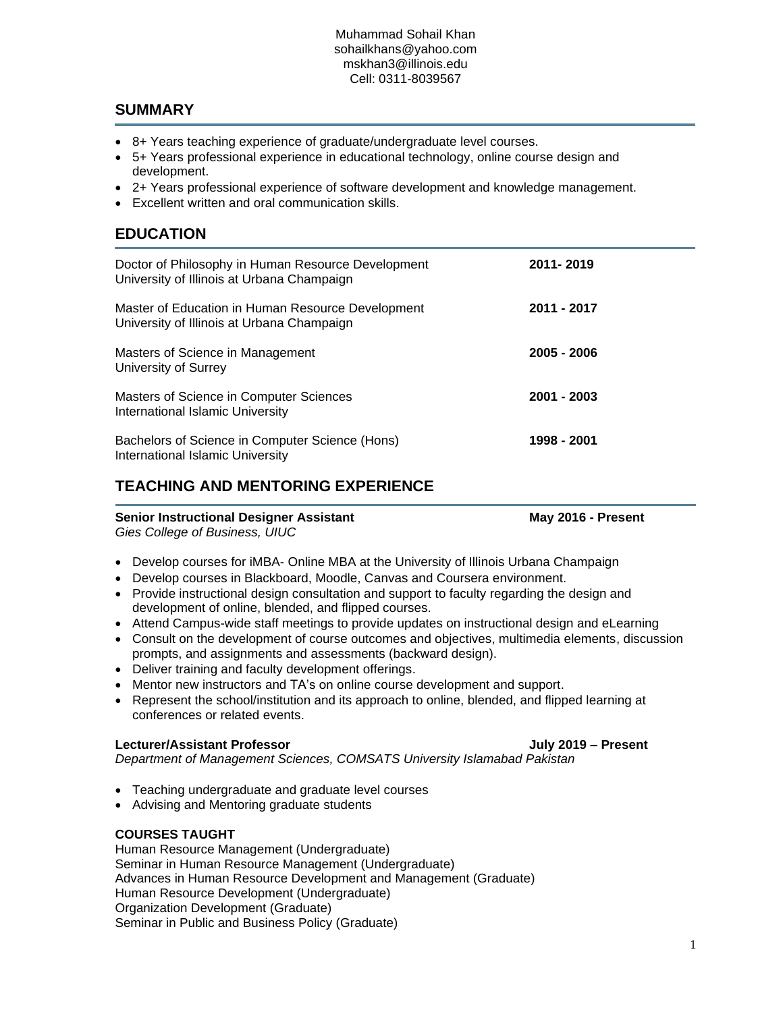# **SUMMARY**

- 8+ Years teaching experience of graduate/undergraduate level courses.
- 5+ Years professional experience in educational technology, online course design and development.
- 2+ Years professional experience of software development and knowledge management.
- Excellent written and oral communication skills.

# **EDUCATION**

| Doctor of Philosophy in Human Resource Development<br>University of Illinois at Urbana Champaign | 2011-2019     |
|--------------------------------------------------------------------------------------------------|---------------|
| Master of Education in Human Resource Development<br>University of Illinois at Urbana Champaign  | 2011 - 2017   |
| Masters of Science in Management<br>University of Surrey                                         | 2005 - 2006   |
| Masters of Science in Computer Sciences<br>International Islamic University                      | $2001 - 2003$ |
| Bachelors of Science in Computer Science (Hons)<br>International Islamic University              | 1998 - 2001   |

# **TEACHING AND MENTORING EXPERIENCE**

## **Senior Instructional Designer Assistant May 2016 - Present**

*Gies College of Business, UIUC* 

- Develop courses for iMBA- Online MBA at the University of Illinois Urbana Champaign
- Develop courses in Blackboard, Moodle, Canvas and Coursera environment.
- Provide instructional design consultation and support to faculty regarding the design and development of online, blended, and flipped courses.
- Attend Campus-wide staff meetings to provide updates on instructional design and eLearning
- Consult on the development of course outcomes and objectives, multimedia elements, discussion prompts, and assignments and assessments (backward design).
- Deliver training and faculty development offerings.
- Mentor new instructors and TA's on online course development and support.
- Represent the school/institution and its approach to online, blended, and flipped learning at conferences or related events.

### **Lecturer/Assistant Professor July 2019 – Present**

*Department of Management Sciences, COMSATS University Islamabad Pakistan*

- Teaching undergraduate and graduate level courses
- Advising and Mentoring graduate students

### **COURSES TAUGHT**

Human Resource Management (Undergraduate) Seminar in Human Resource Management (Undergraduate) Advances in Human Resource Development and Management (Graduate) Human Resource Development (Undergraduate) Organization Development (Graduate) Seminar in Public and Business Policy (Graduate)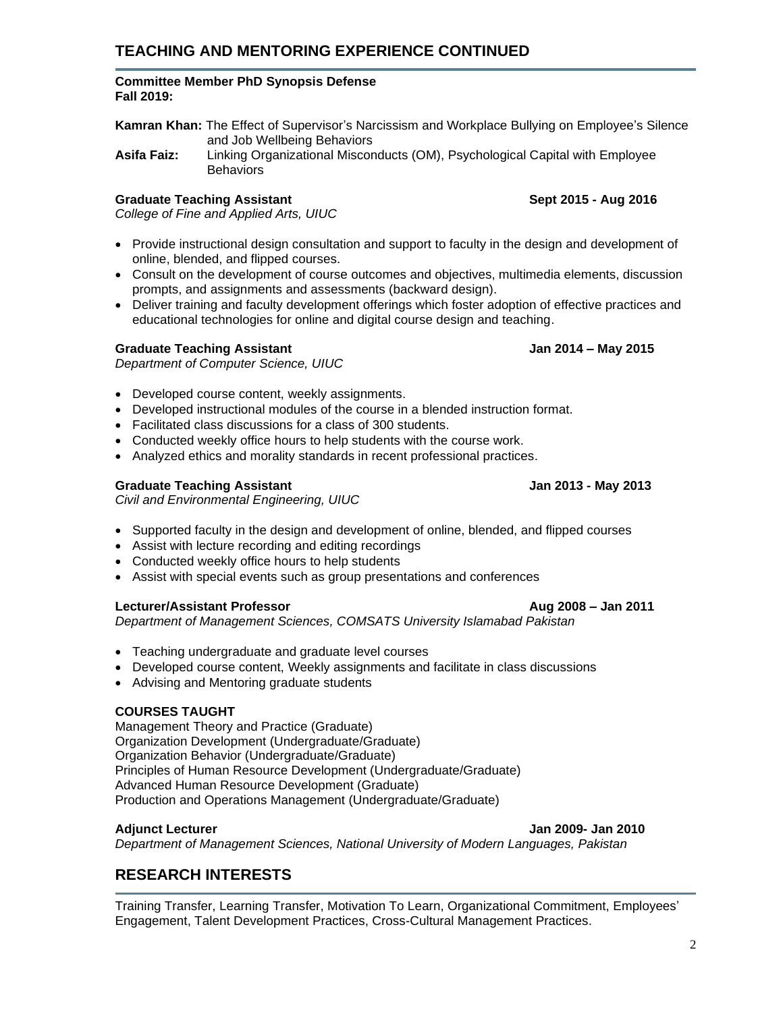# **TEACHING AND MENTORING EXPERIENCE CONTINUED**

### **Committee Member PhD Synopsis Defense Fall 2019:**

**Kamran Khan:** The Effect of Supervisor's Narcissism and Workplace Bullying on Employee's Silence and Job Wellbeing Behaviors

**Asifa Faiz:** Linking Organizational Misconducts (OM), Psychological Capital with Employee **Behaviors** 

# **Graduate Teaching Assistant Sept 2015 - Aug 2016**

*College of Fine and Applied Arts, UIUC*

- Provide instructional design consultation and support to faculty in the design and development of online, blended, and flipped courses.
- Consult on the development of course outcomes and objectives, multimedia elements, discussion prompts, and assignments and assessments (backward design).
- Deliver training and faculty development offerings which foster adoption of effective practices and educational technologies for online and digital course design and teaching.

# **Graduate Teaching Assistant Jan 2014 – May 2015**

*Department of Computer Science, UIUC*

- Developed course content, weekly assignments.
- Developed instructional modules of the course in a blended instruction format.
- Facilitated class discussions for a class of 300 students.
- Conducted weekly office hours to help students with the course work.
- Analyzed ethics and morality standards in recent professional practices.

# **Graduate Teaching Assistant Jan 2013 - May 2013**

*Civil and Environmental Engineering, UIUC*

- Supported faculty in the design and development of online, blended, and flipped courses
- Assist with lecture recording and editing recordings
- Conducted weekly office hours to help students
- Assist with special events such as group presentations and conferences

## **Lecturer/Assistant Professor Aug 2008 – Jan 2011**

*Department of Management Sciences, COMSATS University Islamabad Pakistan* 

- Teaching undergraduate and graduate level courses
- Developed course content, Weekly assignments and facilitate in class discussions
- Advising and Mentoring graduate students

# **COURSES TAUGHT**

Management Theory and Practice (Graduate) Organization Development (Undergraduate/Graduate) Organization Behavior (Undergraduate/Graduate) Principles of Human Resource Development (Undergraduate/Graduate) Advanced Human Resource Development (Graduate) Production and Operations Management (Undergraduate/Graduate)

**Adjunct Lecturer Jan 2009- Jan 2010** *Department of Management Sciences, National University of Modern Languages, Pakistan*

# **RESEARCH INTERESTS**

Training Transfer, Learning Transfer, Motivation To Learn, Organizational Commitment, Employees' Engagement, Talent Development Practices, Cross-Cultural Management Practices.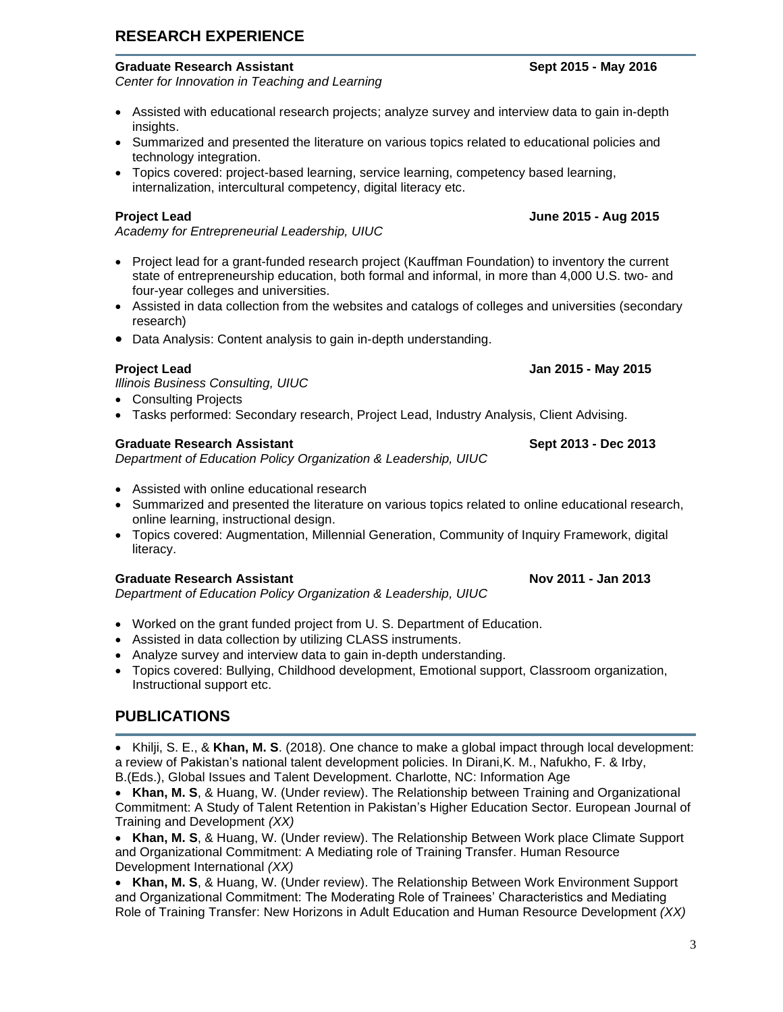**RESEARCH EXPERIENCE**

*Center for Innovation in Teaching and Learning* 

- Assisted with educational research projects; analyze survey and interview data to gain in-depth insights.
- Summarized and presented the literature on various topics related to educational policies and technology integration.
- Topics covered: project-based learning, service learning, competency based learning, internalization, intercultural competency, digital literacy etc.

### **Project Lead June 2015 - Aug 2015**

*Academy for Entrepreneurial Leadership, UIUC* 

- Project lead for a grant-funded research project (Kauffman Foundation) to inventory the current state of entrepreneurship education, both formal and informal, in more than 4,000 U.S. two- and four-year colleges and universities.
- Assisted in data collection from the websites and catalogs of colleges and universities (secondary research)
- Data Analysis: Content analysis to gain in-depth understanding.

*Illinois Business Consulting, UIUC*

- Consulting Projects
- Tasks performed: Secondary research, Project Lead, Industry Analysis, Client Advising.

### **Graduate Research Assistant Sept 2013 - Dec 2013**

*Department of Education Policy Organization & Leadership, UIUC* 

- Assisted with online educational research
- Summarized and presented the literature on various topics related to online educational research, online learning, instructional design.
- Topics covered: Augmentation, Millennial Generation, Community of Inquiry Framework, digital literacy.

### **Graduate Research Assistant Nov 2011 - Jan 2013**

*Department of Education Policy Organization & Leadership, UIUC* 

- Worked on the grant funded project from U. S. Department of Education.
- Assisted in data collection by utilizing CLASS instruments.
- Analyze survey and interview data to gain in-depth understanding.
- Topics covered: Bullying, Childhood development, Emotional support, Classroom organization, Instructional support etc.

# **PUBLICATIONS**

• Khilji, S. E., & **Khan, M. S**. (2018). One chance to make a global impact through local development: a review of Pakistan's national talent development policies. In Dirani,K. M., Nafukho, F. & Irby, B.(Eds.), Global Issues and Talent Development. Charlotte, NC: Information Age

• **Khan, M. S**, & Huang, W. (Under review). The Relationship between Training and Organizational Commitment: A Study of Talent Retention in Pakistan's Higher Education Sector. European Journal of Training and Development *(XX)*

• **Khan, M. S**, & Huang, W. (Under review). The Relationship Between Work place Climate Support and Organizational Commitment: A Mediating role of Training Transfer. Human Resource Development International *(XX)*

• **Khan, M. S**, & Huang, W. (Under review). The Relationship Between Work Environment Support and Organizational Commitment: The Moderating Role of Trainees' Characteristics and Mediating Role of Training Transfer: New Horizons in Adult Education and Human Resource Development *(XX)*

# **Project Lead Jan 2015 - May 2015**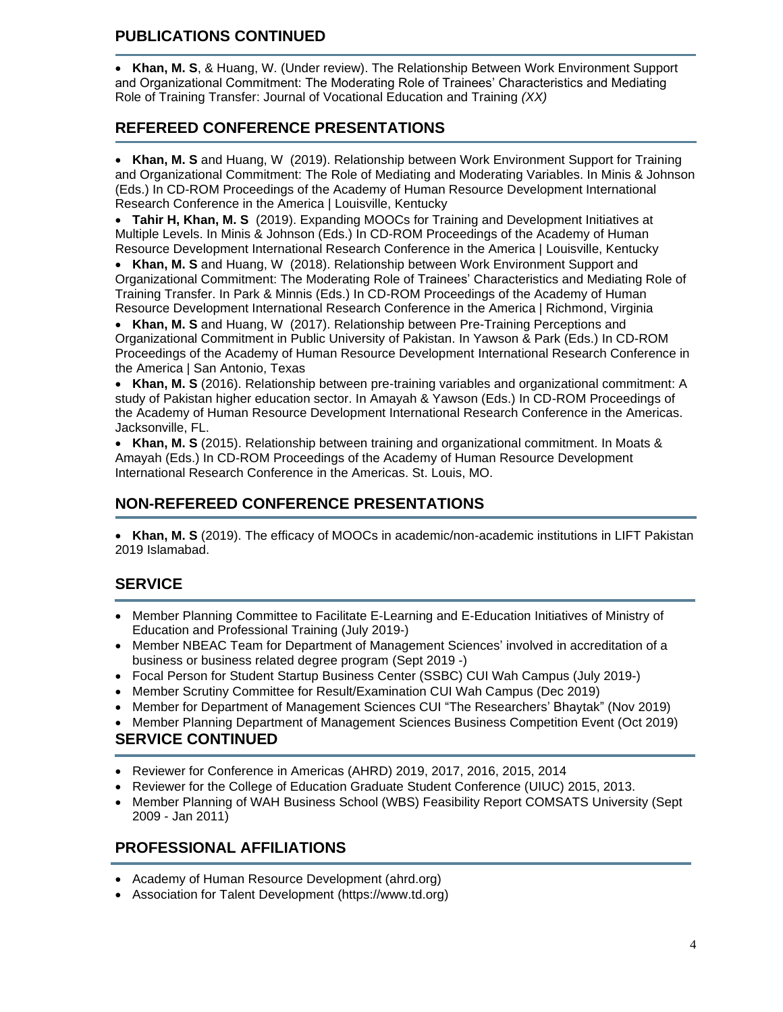# **PUBLICATIONS CONTINUED**

• **Khan, M. S**, & Huang, W. (Under review). The Relationship Between Work Environment Support and Organizational Commitment: The Moderating Role of Trainees' Characteristics and Mediating Role of Training Transfer: Journal of Vocational Education and Training *(XX)*

# **REFEREED CONFERENCE PRESENTATIONS**

• **Khan, M. S** and Huang, W (2019). Relationship between Work Environment Support for Training and Organizational Commitment: The Role of Mediating and Moderating Variables. In Minis & Johnson (Eds.) In CD-ROM Proceedings of the Academy of Human Resource Development International Research Conference in the America | Louisville, Kentucky

• **Tahir H, Khan, M. S** (2019). Expanding MOOCs for Training and Development Initiatives at Multiple Levels. In Minis & Johnson (Eds.) In CD-ROM Proceedings of the Academy of Human Resource Development International Research Conference in the America | Louisville, Kentucky

• **Khan, M. S** and Huang, W (2018). Relationship between Work Environment Support and Organizational Commitment: The Moderating Role of Trainees' Characteristics and Mediating Role of Training Transfer. In Park & Minnis (Eds.) In CD-ROM Proceedings of the Academy of Human Resource Development International Research Conference in the America | Richmond, Virginia

• **Khan, M. S** and Huang, W (2017). Relationship between Pre-Training Perceptions and Organizational Commitment in Public University of Pakistan. In Yawson & Park (Eds.) In CD-ROM Proceedings of the Academy of Human Resource Development International Research Conference in the America | San Antonio, Texas

• **Khan, M. S** (2016). Relationship between pre-training variables and organizational commitment: A study of Pakistan higher education sector. In Amayah & Yawson (Eds.) In CD-ROM Proceedings of the Academy of Human Resource Development International Research Conference in the Americas. Jacksonville, FL.

• **Khan, M. S** (2015). Relationship between training and organizational commitment. In Moats & Amayah (Eds.) In CD-ROM Proceedings of the Academy of Human Resource Development International Research Conference in the Americas. St. Louis, MO.

# **NON-REFEREED CONFERENCE PRESENTATIONS**

• **Khan, M. S** (2019). The efficacy of MOOCs in academic/non-academic institutions in LIFT Pakistan 2019 Islamabad.

# **SERVICE**

- Member Planning Committee to Facilitate E-Learning and E-Education Initiatives of Ministry of Education and Professional Training (July 2019-)
- Member NBEAC Team for Department of Management Sciences' involved in accreditation of a business or business related degree program (Sept 2019 -)
- Focal Person for Student Startup Business Center (SSBC) CUI Wah Campus (July 2019-)
- Member Scrutiny Committee for Result/Examination CUI Wah Campus (Dec 2019)
- Member for Department of Management Sciences CUI "The Researchers' Bhaytak" (Nov 2019)
- Member Planning Department of Management Sciences Business Competition Event (Oct 2019)

# **SERVICE CONTINUED**

- Reviewer for Conference in Americas (AHRD) 2019, 2017, 2016, 2015, 2014
- Reviewer for the College of Education Graduate Student Conference (UIUC) 2015, 2013.
- Member Planning of WAH Business School (WBS) Feasibility Report COMSATS University (Sept 2009 - Jan 2011)

# **PROFESSIONAL AFFILIATIONS**

- Academy of Human Resource Development (ahrd.org)
- Association for Talent Development (https://www.td.org)